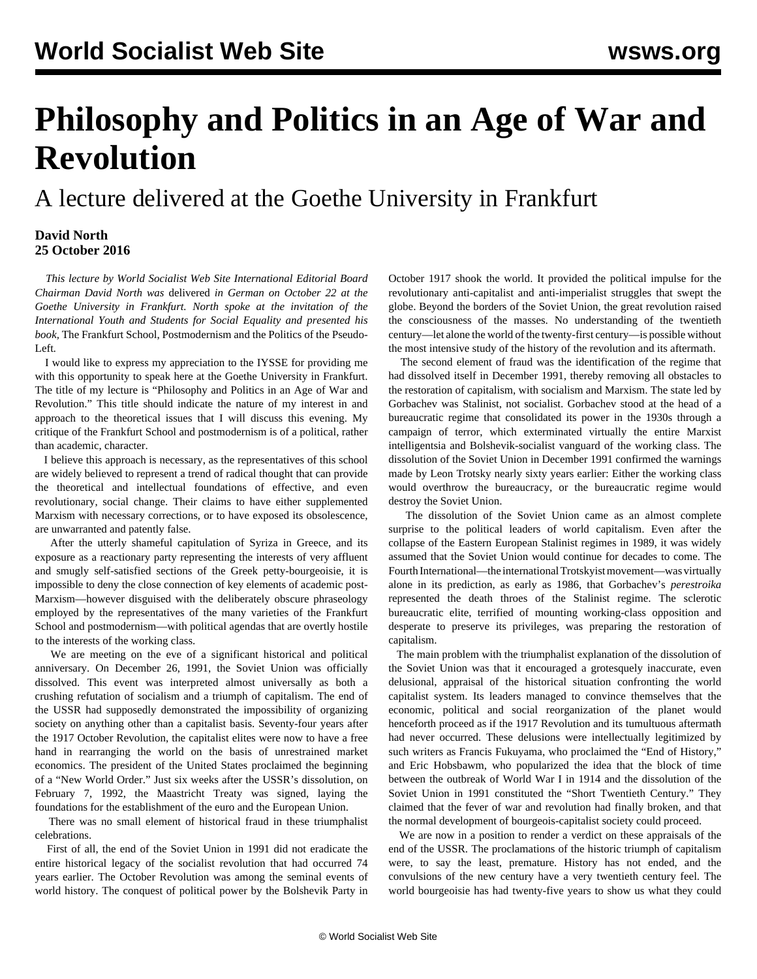## **Philosophy and Politics in an Age of War and Revolution**

A lecture delivered at the Goethe University in Frankfurt

## **David North 25 October 2016**

 *This lecture by World Socialist Web Site International Editorial Board Chairman David North was* [delivered](/en/articles/2016/10/25/fran-o25.html) *in German on October 22 at the Goethe University in Frankfurt. North spoke at the invitation of the International Youth and Students for Social Equality and presented his book,* [The Frankfurt School, Postmodernism and the Politics of the Pseudo-](http://mehring.com/frankfurt-school-postmodernism.html)[Left](http://mehring.com/frankfurt-school-postmodernism.html)*.*

 I would like to express my appreciation to the IYSSE for providing me with this opportunity to speak here at the Goethe University in Frankfurt. The title of my lecture is "Philosophy and Politics in an Age of War and Revolution." This title should indicate the nature of my interest in and approach to the theoretical issues that I will discuss this evening. My critique of the Frankfurt School and postmodernism is of a political, rather than academic, character.

 I believe this approach is necessary, as the representatives of this school are widely believed to represent a trend of radical thought that can provide the theoretical and intellectual foundations of effective, and even revolutionary, social change. Their claims to have either supplemented Marxism with necessary corrections, or to have exposed its obsolescence, are unwarranted and patently false.

 After the utterly shameful capitulation of Syriza in Greece, and its exposure as a reactionary party representing the interests of very affluent and smugly self-satisfied sections of the Greek petty-bourgeoisie, it is impossible to deny the close connection of key elements of academic post-Marxism—however disguised with the deliberately obscure phraseology employed by the representatives of the many varieties of the Frankfurt School and postmodernism—with political agendas that are overtly hostile to the interests of the working class.

 We are meeting on the eve of a significant historical and political anniversary. On December 26, 1991, the Soviet Union was officially dissolved. This event was interpreted almost universally as both a crushing refutation of socialism and a triumph of capitalism. The end of the USSR had supposedly demonstrated the impossibility of organizing society on anything other than a capitalist basis. Seventy-four years after the 1917 October Revolution, the capitalist elites were now to have a free hand in rearranging the world on the basis of unrestrained market economics. The president of the United States proclaimed the beginning of a "New World Order." Just six weeks after the USSR's dissolution, on February 7, 1992, the Maastricht Treaty was signed, laying the foundations for the establishment of the euro and the European Union.

 There was no small element of historical fraud in these triumphalist celebrations.

 First of all, the end of the Soviet Union in 1991 did not eradicate the entire historical legacy of the socialist revolution that had occurred 74 years earlier. The October Revolution was among the seminal events of world history. The conquest of political power by the Bolshevik Party in October 1917 shook the world. It provided the political impulse for the revolutionary anti-capitalist and anti-imperialist struggles that swept the globe. Beyond the borders of the Soviet Union, the great revolution raised the consciousness of the masses. No understanding of the twentieth century—let alone the world of the twenty-first century—is possible without the most intensive study of the history of the revolution and its aftermath.

 The second element of fraud was the identification of the regime that had dissolved itself in December 1991, thereby removing all obstacles to the restoration of capitalism, with socialism and Marxism. The state led by Gorbachev was Stalinist, not socialist. Gorbachev stood at the head of a bureaucratic regime that consolidated its power in the 1930s through a campaign of terror, which exterminated virtually the entire Marxist intelligentsia and Bolshevik-socialist vanguard of the working class. The dissolution of the Soviet Union in December 1991 confirmed the warnings made by Leon Trotsky nearly sixty years earlier: Either the working class would overthrow the bureaucracy, or the bureaucratic regime would destroy the Soviet Union.

 The dissolution of the Soviet Union came as an almost complete surprise to the political leaders of world capitalism. Even after the collapse of the Eastern European Stalinist regimes in 1989, it was widely assumed that the Soviet Union would continue for decades to come. The Fourth International—the international Trotskyist movement—was virtually alone in its prediction, as early as 1986, that Gorbachev's *perestroika* represented the death throes of the Stalinist regime. The sclerotic bureaucratic elite, terrified of mounting working-class opposition and desperate to preserve its privileges, was preparing the restoration of capitalism.

 The main problem with the triumphalist explanation of the dissolution of the Soviet Union was that it encouraged a grotesquely inaccurate, even delusional, appraisal of the historical situation confronting the world capitalist system. Its leaders managed to convince themselves that the economic, political and social reorganization of the planet would henceforth proceed as if the 1917 Revolution and its tumultuous aftermath had never occurred. These delusions were intellectually legitimized by such writers as Francis Fukuyama, who proclaimed the "End of History," and Eric Hobsbawm, who popularized the idea that the block of time between the outbreak of World War I in 1914 and the dissolution of the Soviet Union in 1991 constituted the "Short Twentieth Century." They claimed that the fever of war and revolution had finally broken, and that the normal development of bourgeois-capitalist society could proceed.

 We are now in a position to render a verdict on these appraisals of the end of the USSR. The proclamations of the historic triumph of capitalism were, to say the least, premature. History has not ended, and the convulsions of the new century have a very twentieth century feel. The world bourgeoisie has had twenty-five years to show us what they could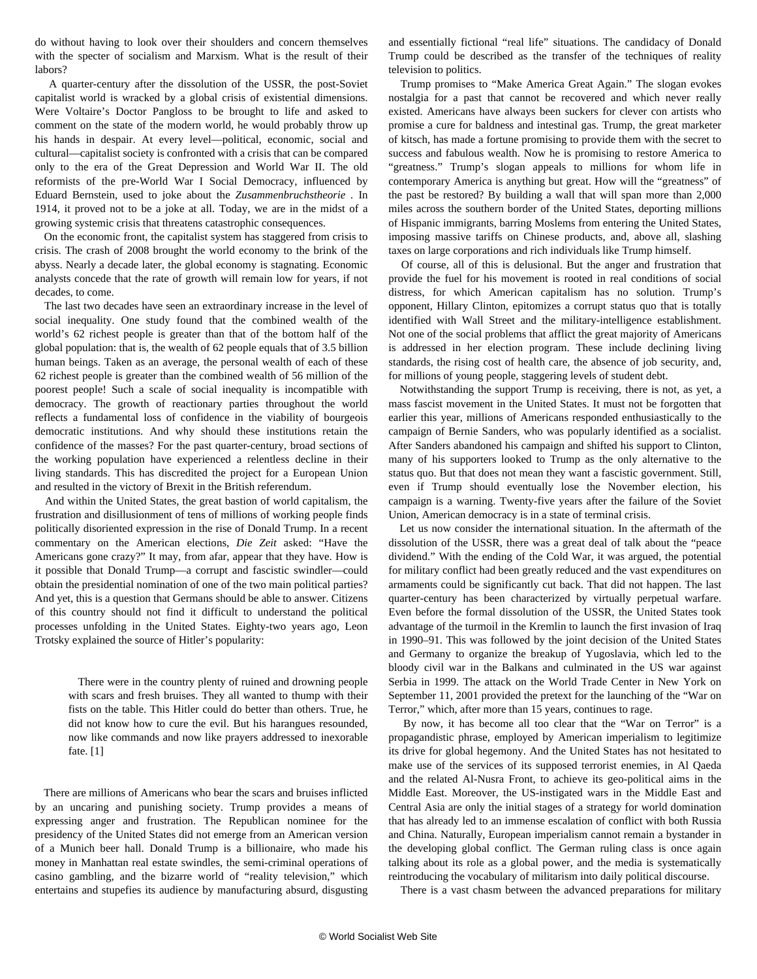do without having to look over their shoulders and concern themselves with the specter of socialism and Marxism. What is the result of their labors?

 A quarter-century after the dissolution of the USSR, the post-Soviet capitalist world is wracked by a global crisis of existential dimensions. Were Voltaire's Doctor Pangloss to be brought to life and asked to comment on the state of the modern world, he would probably throw up his hands in despair. At every level—political, economic, social and cultural—capitalist society is confronted with a crisis that can be compared only to the era of the Great Depression and World War II. The old reformists of the pre-World War I Social Democracy, influenced by Eduard Bernstein, used to joke about the *Zusammenbruchstheorie .* In 1914, it proved not to be a joke at all. Today, we are in the midst of a growing systemic crisis that threatens catastrophic consequences.

 On the economic front, the capitalist system has staggered from crisis to crisis. The crash of 2008 brought the world economy to the brink of the abyss. Nearly a decade later, the global economy is stagnating. Economic analysts concede that the rate of growth will remain low for years, if not decades, to come.

 The last two decades have seen an extraordinary increase in the level of social inequality. One study found that the combined wealth of the world's 62 richest people is greater than that of the bottom half of the global population: that is, the wealth of 62 people equals that of 3.5 billion human beings. Taken as an average, the personal wealth of each of these 62 richest people is greater than the combined wealth of 56 million of the poorest people! Such a scale of social inequality is incompatible with democracy. The growth of reactionary parties throughout the world reflects a fundamental loss of confidence in the viability of bourgeois democratic institutions. And why should these institutions retain the confidence of the masses? For the past quarter-century, broad sections of the working population have experienced a relentless decline in their living standards. This has discredited the project for a European Union and resulted in the victory of Brexit in the British referendum.

 And within the United States, the great bastion of world capitalism, the frustration and disillusionment of tens of millions of working people finds politically disoriented expression in the rise of Donald Trump. In a recent commentary on the American elections, *Die Zeit* asked: "Have the Americans gone crazy?" It may, from afar, appear that they have. How is it possible that Donald Trump—a corrupt and fascistic swindler—could obtain the presidential nomination of one of the two main political parties? And yet, this is a question that Germans should be able to answer. Citizens of this country should not find it difficult to understand the political processes unfolding in the United States. Eighty-two years ago, Leon Trotsky explained the source of Hitler's popularity:

 There were in the country plenty of ruined and drowning people with scars and fresh bruises. They all wanted to thump with their fists on the table. This Hitler could do better than others. True, he did not know how to cure the evil. But his harangues resounded, now like commands and now like prayers addressed to inexorable fate. [1]

 There are millions of Americans who bear the scars and bruises inflicted by an uncaring and punishing society. Trump provides a means of expressing anger and frustration. The Republican nominee for the presidency of the United States did not emerge from an American version of a Munich beer hall. Donald Trump is a billionaire, who made his money in Manhattan real estate swindles, the semi-criminal operations of casino gambling, and the bizarre world of "reality television," which entertains and stupefies its audience by manufacturing absurd, disgusting

and essentially fictional "real life" situations. The candidacy of Donald Trump could be described as the transfer of the techniques of reality television to politics.

 Trump promises to "Make America Great Again." The slogan evokes nostalgia for a past that cannot be recovered and which never really existed. Americans have always been suckers for clever con artists who promise a cure for baldness and intestinal gas. Trump, the great marketer of kitsch, has made a fortune promising to provide them with the secret to success and fabulous wealth. Now he is promising to restore America to "greatness." Trump's slogan appeals to millions for whom life in contemporary America is anything but great. How will the "greatness" of the past be restored? By building a wall that will span more than 2,000 miles across the southern border of the United States, deporting millions of Hispanic immigrants, barring Moslems from entering the United States, imposing massive tariffs on Chinese products, and, above all, slashing taxes on large corporations and rich individuals like Trump himself.

 Of course, all of this is delusional. But the anger and frustration that provide the fuel for his movement is rooted in real conditions of social distress, for which American capitalism has no solution. Trump's opponent, Hillary Clinton, epitomizes a corrupt status quo that is totally identified with Wall Street and the military-intelligence establishment. Not one of the social problems that afflict the great majority of Americans is addressed in her election program. These include declining living standards, the rising cost of health care, the absence of job security, and, for millions of young people, staggering levels of student debt.

 Notwithstanding the support Trump is receiving, there is not, as yet, a mass fascist movement in the United States. It must not be forgotten that earlier this year, millions of Americans responded enthusiastically to the campaign of Bernie Sanders, who was popularly identified as a socialist. After Sanders abandoned his campaign and shifted his support to Clinton, many of his supporters looked to Trump as the only alternative to the status quo. But that does not mean they want a fascistic government. Still, even if Trump should eventually lose the November election, his campaign is a warning. Twenty-five years after the failure of the Soviet Union, American democracy is in a state of terminal crisis.

 Let us now consider the international situation. In the aftermath of the dissolution of the USSR, there was a great deal of talk about the "peace dividend." With the ending of the Cold War, it was argued, the potential for military conflict had been greatly reduced and the vast expenditures on armaments could be significantly cut back. That did not happen. The last quarter-century has been characterized by virtually perpetual warfare. Even before the formal dissolution of the USSR, the United States took advantage of the turmoil in the Kremlin to launch the first invasion of Iraq in 1990–91. This was followed by the joint decision of the United States and Germany to organize the breakup of Yugoslavia, which led to the bloody civil war in the Balkans and culminated in the US war against Serbia in 1999. The attack on the World Trade Center in New York on September 11, 2001 provided the pretext for the launching of the "War on Terror," which, after more than 15 years, continues to rage.

 By now, it has become all too clear that the "War on Terror" is a propagandistic phrase, employed by American imperialism to legitimize its drive for global hegemony. And the United States has not hesitated to make use of the services of its supposed terrorist enemies, in Al Qaeda and the related Al-Nusra Front, to achieve its geo-political aims in the Middle East. Moreover, the US-instigated wars in the Middle East and Central Asia are only the initial stages of a strategy for world domination that has already led to an immense escalation of conflict with both Russia and China. Naturally, European imperialism cannot remain a bystander in the developing global conflict. The German ruling class is once again talking about its role as a global power, and the media is systematically reintroducing the vocabulary of militarism into daily political discourse.

There is a vast chasm between the advanced preparations for military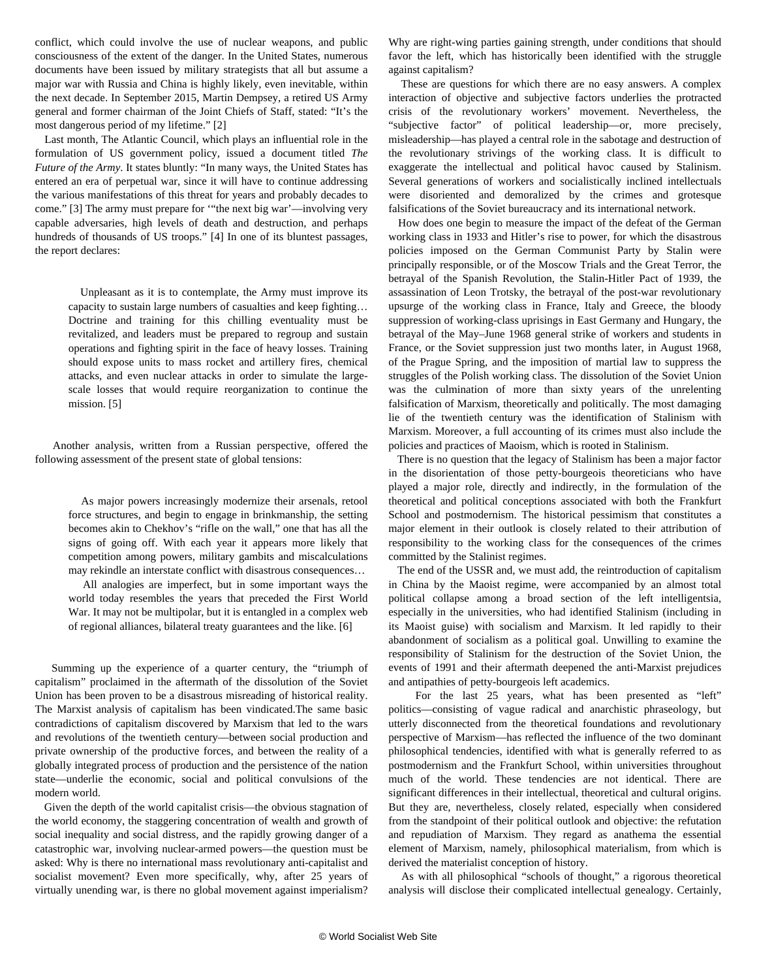conflict, which could involve the use of nuclear weapons, and public consciousness of the extent of the danger. In the United States, numerous documents have been issued by military strategists that all but assume a major war with Russia and China is highly likely, even inevitable, within the next decade. In September 2015, Martin Dempsey, a retired US Army general and former chairman of the Joint Chiefs of Staff, stated: "It's the most dangerous period of my lifetime." [2]

 Last month, The Atlantic Council, which plays an influential role in the formulation of US government policy, issued a document titled *The Future of the Army*. It states bluntly: "In many ways, the United States has entered an era of perpetual war, since it will have to continue addressing the various manifestations of this threat for years and probably decades to come." [3] The army must prepare for '"the next big war'—involving very capable adversaries, high levels of death and destruction, and perhaps hundreds of thousands of US troops." [4] In one of its bluntest passages, the report declares:

 Unpleasant as it is to contemplate, the Army must improve its capacity to sustain large numbers of casualties and keep fighting… Doctrine and training for this chilling eventuality must be revitalized, and leaders must be prepared to regroup and sustain operations and fighting spirit in the face of heavy losses. Training should expose units to mass rocket and artillery fires, chemical attacks, and even nuclear attacks in order to simulate the largescale losses that would require reorganization to continue the mission. [5]

 Another analysis, written from a Russian perspective, offered the following assessment of the present state of global tensions:

 As major powers increasingly modernize their arsenals, retool force structures, and begin to engage in brinkmanship, the setting becomes akin to Chekhov's "rifle on the wall," one that has all the signs of going off. With each year it appears more likely that competition among powers, military gambits and miscalculations may rekindle an interstate conflict with disastrous consequences…

 All analogies are imperfect, but in some important ways the world today resembles the years that preceded the First World War. It may not be multipolar, but it is entangled in a complex web of regional alliances, bilateral treaty guarantees and the like. [6]

 Summing up the experience of a quarter century, the "triumph of capitalism" proclaimed in the aftermath of the dissolution of the Soviet Union has been proven to be a disastrous misreading of historical reality. The Marxist analysis of capitalism has been vindicated.The same basic contradictions of capitalism discovered by Marxism that led to the wars and revolutions of the twentieth century—between social production and private ownership of the productive forces, and between the reality of a globally integrated process of production and the persistence of the nation state—underlie the economic, social and political convulsions of the modern world.

 Given the depth of the world capitalist crisis—the obvious stagnation of the world economy, the staggering concentration of wealth and growth of social inequality and social distress, and the rapidly growing danger of a catastrophic war, involving nuclear-armed powers—the question must be asked: Why is there no international mass revolutionary anti-capitalist and socialist movement? Even more specifically, why, after 25 years of virtually unending war, is there no global movement against imperialism?

Why are right-wing parties gaining strength, under conditions that should favor the left, which has historically been identified with the struggle against capitalism?

 These are questions for which there are no easy answers. A complex interaction of objective and subjective factors underlies the protracted crisis of the revolutionary workers' movement. Nevertheless, the "subjective factor" of political leadership—or, more precisely, misleadership—has played a central role in the sabotage and destruction of the revolutionary strivings of the working class. It is difficult to exaggerate the intellectual and political havoc caused by Stalinism. Several generations of workers and socialistically inclined intellectuals were disoriented and demoralized by the crimes and grotesque falsifications of the Soviet bureaucracy and its international network.

 How does one begin to measure the impact of the defeat of the German working class in 1933 and Hitler's rise to power, for which the disastrous policies imposed on the German Communist Party by Stalin were principally responsible, or of the Moscow Trials and the Great Terror, the betrayal of the Spanish Revolution, the Stalin-Hitler Pact of 1939, the assassination of Leon Trotsky, the betrayal of the post-war revolutionary upsurge of the working class in France, Italy and Greece, the bloody suppression of working-class uprisings in East Germany and Hungary, the betrayal of the May–June 1968 general strike of workers and students in France, or the Soviet suppression just two months later, in August 1968, of the Prague Spring, and the imposition of martial law to suppress the struggles of the Polish working class. The dissolution of the Soviet Union was the culmination of more than sixty years of the unrelenting falsification of Marxism, theoretically and politically. The most damaging lie of the twentieth century was the identification of Stalinism with Marxism. Moreover, a full accounting of its crimes must also include the policies and practices of Maoism, which is rooted in Stalinism.

 There is no question that the legacy of Stalinism has been a major factor in the disorientation of those petty-bourgeois theoreticians who have played a major role, directly and indirectly, in the formulation of the theoretical and political conceptions associated with both the Frankfurt School and postmodernism. The historical pessimism that constitutes a major element in their outlook is closely related to their attribution of responsibility to the working class for the consequences of the crimes committed by the Stalinist regimes.

 The end of the USSR and, we must add, the reintroduction of capitalism in China by the Maoist regime, were accompanied by an almost total political collapse among a broad section of the left intelligentsia, especially in the universities, who had identified Stalinism (including in its Maoist guise) with socialism and Marxism. It led rapidly to their abandonment of socialism as a political goal. Unwilling to examine the responsibility of Stalinism for the destruction of the Soviet Union, the events of 1991 and their aftermath deepened the anti-Marxist prejudices and antipathies of petty-bourgeois left academics.

 For the last 25 years, what has been presented as "left" politics—consisting of vague radical and anarchistic phraseology, but utterly disconnected from the theoretical foundations and revolutionary perspective of Marxism—has reflected the influence of the two dominant philosophical tendencies, identified with what is generally referred to as postmodernism and the Frankfurt School, within universities throughout much of the world. These tendencies are not identical. There are significant differences in their intellectual, theoretical and cultural origins. But they are, nevertheless, closely related, especially when considered from the standpoint of their political outlook and objective: the refutation and repudiation of Marxism. They regard as anathema the essential element of Marxism, namely, philosophical materialism, from which is derived the materialist conception of history.

 As with all philosophical "schools of thought," a rigorous theoretical analysis will disclose their complicated intellectual genealogy. Certainly,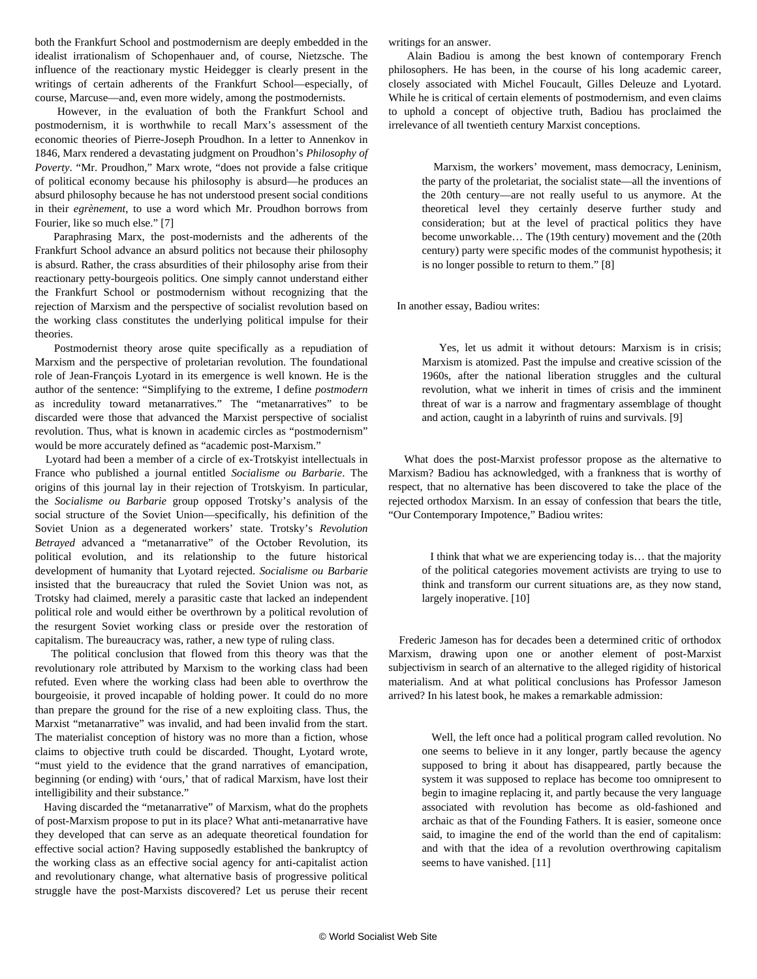both the Frankfurt School and postmodernism are deeply embedded in the idealist irrationalism of Schopenhauer and, of course, Nietzsche. The influence of the reactionary mystic Heidegger is clearly present in the writings of certain adherents of the Frankfurt School—especially, of course, Marcuse—and, even more widely, among the postmodernists.

 However, in the evaluation of both the Frankfurt School and postmodernism, it is worthwhile to recall Marx's assessment of the economic theories of Pierre-Joseph Proudhon. In a letter to Annenkov in 1846, Marx rendered a devastating judgment on Proudhon's *Philosophy of Poverty*. "Mr. Proudhon," Marx wrote, "does not provide a false critique of political economy because his philosophy is absurd—he produces an absurd philosophy because he has not understood present social conditions in their *egrènement*, to use a word which Mr. Proudhon borrows from Fourier, like so much else." [7]

 Paraphrasing Marx, the post-modernists and the adherents of the Frankfurt School advance an absurd politics not because their philosophy is absurd. Rather, the crass absurdities of their philosophy arise from their reactionary petty-bourgeois politics. One simply cannot understand either the Frankfurt School or postmodernism without recognizing that the rejection of Marxism and the perspective of socialist revolution based on the working class constitutes the underlying political impulse for their theories.

 Postmodernist theory arose quite specifically as a repudiation of Marxism and the perspective of proletarian revolution. The foundational role of Jean-François Lyotard in its emergence is well known. He is the author of the sentence: "Simplifying to the extreme, I define *postmodern* as incredulity toward metanarratives." The "metanarratives" to be discarded were those that advanced the Marxist perspective of socialist revolution. Thus, what is known in academic circles as "postmodernism" would be more accurately defined as "academic post-Marxism."

 Lyotard had been a member of a circle of ex-Trotskyist intellectuals in France who published a journal entitled *Socialisme ou Barbarie*. The origins of this journal lay in their rejection of Trotskyism. In particular, the *Socialisme ou Barbarie* group opposed Trotsky's analysis of the social structure of the Soviet Union—specifically, his definition of the Soviet Union as a degenerated workers' state. Trotsky's *Revolution Betrayed* advanced a "metanarrative" of the October Revolution, its political evolution, and its relationship to the future historical development of humanity that Lyotard rejected. *Socialisme ou Barbarie* insisted that the bureaucracy that ruled the Soviet Union was not, as Trotsky had claimed, merely a parasitic caste that lacked an independent political role and would either be overthrown by a political revolution of the resurgent Soviet working class or preside over the restoration of capitalism. The bureaucracy was, rather, a new type of ruling class.

 The political conclusion that flowed from this theory was that the revolutionary role attributed by Marxism to the working class had been refuted. Even where the working class had been able to overthrow the bourgeoisie, it proved incapable of holding power. It could do no more than prepare the ground for the rise of a new exploiting class. Thus, the Marxist "metanarrative" was invalid, and had been invalid from the start. The materialist conception of history was no more than a fiction, whose claims to objective truth could be discarded. Thought, Lyotard wrote, "must yield to the evidence that the grand narratives of emancipation, beginning (or ending) with 'ours,' that of radical Marxism, have lost their intelligibility and their substance."

 Having discarded the "metanarrative" of Marxism, what do the prophets of post-Marxism propose to put in its place? What anti-metanarrative have they developed that can serve as an adequate theoretical foundation for effective social action? Having supposedly established the bankruptcy of the working class as an effective social agency for anti-capitalist action and revolutionary change, what alternative basis of progressive political struggle have the post-Marxists discovered? Let us peruse their recent

writings for an answer.

 Alain Badiou is among the best known of contemporary French philosophers. He has been, in the course of his long academic career, closely associated with Michel Foucault, Gilles Deleuze and Lyotard. While he is critical of certain elements of postmodernism, and even claims to uphold a concept of objective truth, Badiou has proclaimed the irrelevance of all twentieth century Marxist conceptions.

 Marxism, the workers' movement, mass democracy, Leninism, the party of the proletariat, the socialist state—all the inventions of the 20th century—are not really useful to us anymore. At the theoretical level they certainly deserve further study and consideration; but at the level of practical politics they have become unworkable… The (19th century) movement and the (20th century) party were specific modes of the communist hypothesis; it is no longer possible to return to them." [8]

In another essay, Badiou writes:

 Yes, let us admit it without detours: Marxism is in crisis; Marxism is atomized. Past the impulse and creative scission of the 1960s, after the national liberation struggles and the cultural revolution, what we inherit in times of crisis and the imminent threat of war is a narrow and fragmentary assemblage of thought and action, caught in a labyrinth of ruins and survivals. [9]

 What does the post-Marxist professor propose as the alternative to Marxism? Badiou has acknowledged, with a frankness that is worthy of respect, that no alternative has been discovered to take the place of the rejected orthodox Marxism. In an essay of confession that bears the title, "Our Contemporary Impotence," Badiou writes:

 I think that what we are experiencing today is… that the majority of the political categories movement activists are trying to use to think and transform our current situations are, as they now stand, largely inoperative. [10]

 Frederic Jameson has for decades been a determined critic of orthodox Marxism, drawing upon one or another element of post-Marxist subjectivism in search of an alternative to the alleged rigidity of historical materialism. And at what political conclusions has Professor Jameson arrived? In his latest book, he makes a remarkable admission:

 Well, the left once had a political program called revolution. No one seems to believe in it any longer, partly because the agency supposed to bring it about has disappeared, partly because the system it was supposed to replace has become too omnipresent to begin to imagine replacing it, and partly because the very language associated with revolution has become as old-fashioned and archaic as that of the Founding Fathers. It is easier, someone once said, to imagine the end of the world than the end of capitalism: and with that the idea of a revolution overthrowing capitalism seems to have vanished. [11]